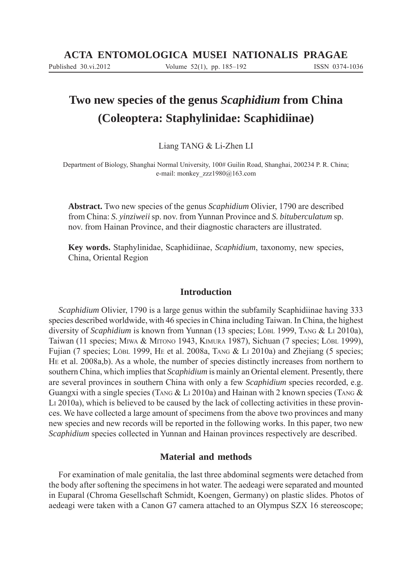# **Two new species of the genus** *Scaphidium* **from China (Coleoptera: Staphylinidae: Scaphidiinae)**

Liang TANG & Li-Zhen LI

Department of Biology, Shanghai Normal University, 100# Guilin Road, Shanghai, 200234 P. R. China; e-mail: monkey\_zzz1980@163.com

**Abstract.** Two new species of the genus *Scaphidium* Olivier, 1790 are described from China: *S. yinziweii* sp. nov. from Yunnan Province and *S. bituberculatum* sp. nov. from Hainan Province, and their diagnostic characters are illustrated.

**Key words.** Staphylinidae, Scaphidiinae, *Scaphidium*, taxonomy, new species, China, Oriental Region

## **Introduction**

*Scaphidium* Olivier, 1790 is a large genus within the subfamily Scaphidiinae having 333 species described worldwide, with 46 species in China including Taiwan. In China, the highest diversity of *Scaphidium* is known from Yunnan (13 species; LöBL 1999, TANG & LI 2010a), Taiwan (11 species; MIWA & MITONO 1943, KIMURA 1987), Sichuan (7 species; LÖBL 1999), Fujian (7 species; LÖBL 1999, HE et al. 2008a, TANG & LI 2010a) and Zhejiang (5 species; HE et al. 2008a,b). As a whole, the number of species distinctly increases from northern to southern China, which implies that *Scaphidium* is mainly an Oriental element. Presently, there are several provinces in southern China with only a few *Scaphidium* species recorded, e.g. Guangxi with a single species (TANG  $&$  L<sub>I</sub> 2010a) and Hainan with 2 known species (TANG  $&$ LI 2010a), which is believed to be caused by the lack of collecting activities in these provinces. We have collected a large amount of specimens from the above two provinces and many new species and new records will be reported in the following works. In this paper, two new *Scaphidium* species collected in Yunnan and Hainan provinces respectively are described.

## **Material and methods**

For examination of male genitalia, the last three abdominal segments were detached from the body after softening the specimens in hot water. The aedeagi were separated and mounted in Euparal (Chroma Gesellschaft Schmidt, Koengen, Germany) on plastic slides. Photos of aedeagi were taken with a Canon G7 camera attached to an Olympus SZX 16 stereoscope;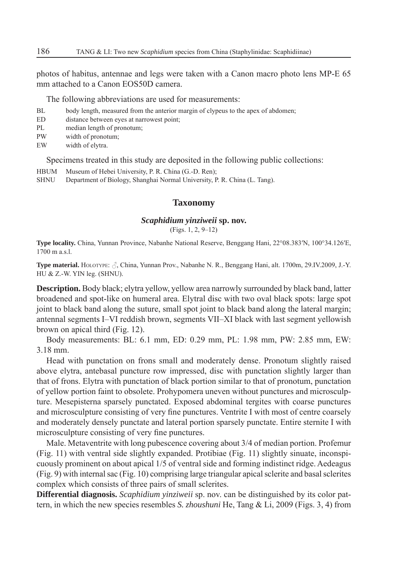photos of habitus, antennae and legs were taken with a Canon macro photo lens MP-E 65 mm attached to a Canon EOS50D camera.

The following abbreviations are used for measurements:

- BL body length, measured from the anterior margin of clypeus to the apex of abdomen;
- ED distance between eyes at narrowest point;
- PL median length of pronotum;
- PW width of pronotum;
- EW width of elytra.

Specimens treated in this study are deposited in the following public collections:

- HBUM Museum of Hebei University, P. R. China (G.-D. Ren);
- SHNU Department of Biology, Shanghai Normal University, P. R. China (L. Tang).

#### **Taxonomy**

#### *Scaphidium yinziweii* **sp. nov.**

(Figs. 1, 2, 9–12)

**Type locality.** China, Yunnan Province, Nabanhe National Reserve, Benggang Hani, 22°08.383′N, 100°34.126′E, 1700 m a.s.l.

**Type material.** HOLOTYPE:  $\beta$ , China, Yunnan Prov., Nabanhe N. R., Benggang Hani, alt. 1700m, 29.IV.2009, J.-Y. HU & Z.-W. YIN leg. (SHNU).

**Description.** Body black; elytra yellow, yellow area narrowly surrounded by black band, latter broadened and spot-like on humeral area. Elytral disc with two oval black spots: large spot joint to black band along the suture, small spot joint to black band along the lateral margin; antennal segments I–VI reddish brown, segments VII–XI black with last segment yellowish brown on apical third (Fig. 12).

Body measurements: BL: 6.1 mm, ED: 0.29 mm, PL: 1.98 mm, PW: 2.85 mm, EW: 3.18 mm.

Head with punctation on frons small and moderately dense. Pronotum slightly raised above elytra, antebasal puncture row impressed, disc with punctation slightly larger than that of frons. Elytra with punctation of black portion similar to that of pronotum, punctation of yellow portion faint to obsolete. Prohypomera uneven without punctures and microsculpture. Mesepisterna sparsely punctated. Exposed abdominal tergites with coarse punctures and microsculpture consisting of very fine punctures. Ventrite I with most of centre coarsely and moderately densely punctate and lateral portion sparsely punctate. Entire sternite I with microsculpture consisting of very fine punctures.

Male. Metaventrite with long pubescence covering about 3/4 of median portion. Profemur (Fig. 11) with ventral side slightly expanded. Protibiae (Fig. 11) slightly sinuate, inconspicuously prominent on about apical 1/5 of ventral side and forming indistinct ridge. Aedeagus (Fig. 9) with internal sac (Fig. 10) comprising large triangular apical sclerite and basal sclerites complex which consists of three pairs of small sclerites.

**Differential diagnosis.** *Scaphidium yinziweii* sp. nov. can be distinguished by its color pattern, in which the new species resembles *S. zhoushuni* He, Tang & Li, 2009 (Figs. 3, 4) from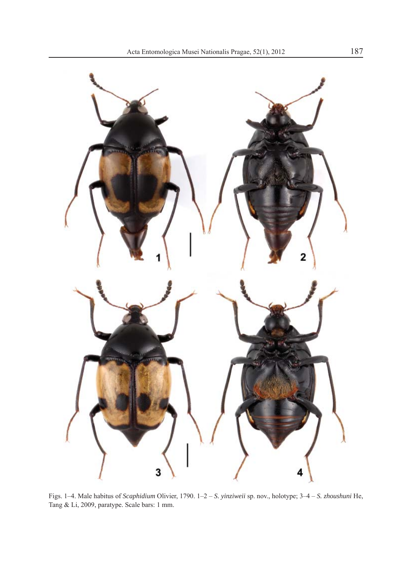

Figs. 1–4. Male habitus of *Scaphidium* Olivier, 1790. 1–2 – *S. yinziweii* sp. nov., holotype; 3–4 – *S. zhoushuni* He, Tang & Li, 2009, paratype. Scale bars: 1 mm.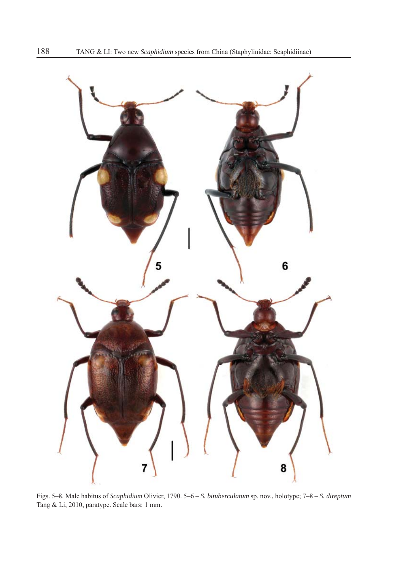

Figs. 5–8. Male habitus of *Scaphidium* Olivier, 1790. 5–6 – *S. bituberculatum* sp. nov., holotype; 7–8 – *S. direptum*  Tang & Li, 2010, paratype. Scale bars: 1 mm.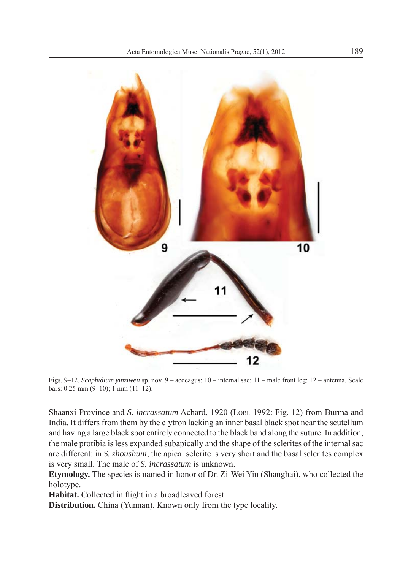

Figs. 9–12. *Scaphidium yinziweii* sp. nov. 9 – aedeagus; 10 – internal sac; 11 – male front leg; 12 – antenna. Scale bars: 0.25 mm (9–10); 1 mm (11–12).

Shaanxi Province and *S. incrassatum* Achard, 1920 (LÖBL 1992: Fig. 12) from Burma and India. It differs from them by the elytron lacking an inner basal black spot near the scutellum and having a large black spot entirely connected to the black band along the suture. In addition, the male protibia is less expanded subapically and the shape of the sclerites of the internal sac are different: in *S. zhoushuni*, the apical sclerite is very short and the basal sclerites complex is very small. The male of *S. incrassatum* is unknown.

**Etymology.** The species is named in honor of Dr. Zi-Wei Yin (Shanghai), who collected the holotype.

Habitat. Collected in flight in a broadleaved forest.

**Distribution.** China (Yunnan). Known only from the type locality.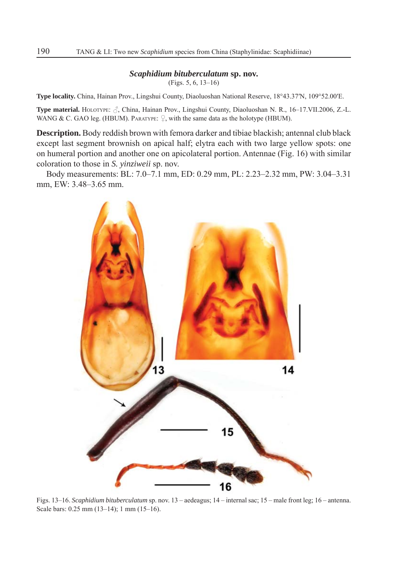#### *Scaphidium bituberculatum* **sp. nov.**

(Figs. 5, 6, 13–16)

**Type locality.** China, Hainan Prov., Lingshui County, Diaoluoshan National Reserve, 18°43.37′N, 109°52.00′E.

**Type material.** HOLOTYPE: , China, Hainan Prov., Lingshui County, Diaoluoshan N. R., 16–17.VII.2006, Z.-L. WANG & C. GAO leg. (HBUM). PARATYPE:  $\Omega$ , with the same data as the holotype (HBUM).

**Description.** Body reddish brown with femora darker and tibiae blackish; antennal club black except last segment brownish on apical half; elytra each with two large yellow spots: one on humeral portion and another one on apicolateral portion. Antennae (Fig. 16) with similar coloration to those in *S. yinziweii* sp. nov.

Body measurements: BL: 7.0–7.1 mm, ED: 0.29 mm, PL: 2.23–2.32 mm, PW: 3.04–3.31 mm, EW: 3.48–3.65 mm.



Figs. 13–16. *Scaphidium bituberculatum* sp. nov. 13 – aedeagus; 14 – internal sac; 15 – male front leg; 16 – antenna. Scale bars: 0.25 mm (13–14); 1 mm (15–16).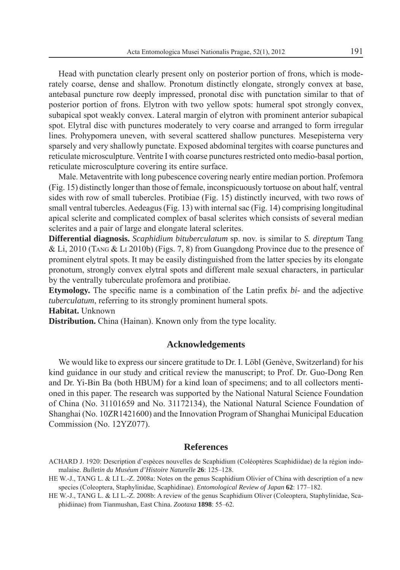Head with punctation clearly present only on posterior portion of frons, which is moderately coarse, dense and shallow. Pronotum distinctly elongate, strongly convex at base, antebasal puncture row deeply impressed, pronotal disc with punctation similar to that of posterior portion of frons. Elytron with two yellow spots: humeral spot strongly convex, subapical spot weakly convex. Lateral margin of elytron with prominent anterior subapical spot. Elytral disc with punctures moderately to very coarse and arranged to form irregular lines. Prohypomera uneven, with several scattered shallow punctures. Mesepisterna very sparsely and very shallowly punctate. Exposed abdominal tergites with coarse punctures and reticulate microsculpture. Ventrite I with coarse punctures restricted onto medio-basal portion, reticulate microsculpture covering its entire surface.

Male. Metaventrite with long pubescence covering nearly entire median portion. Profemora (Fig. 15) distinctly longer than those of female, inconspicuously tortuose on about half, ventral sides with row of small tubercles. Protibiae (Fig. 15) distinctly incurved, with two rows of small ventral tubercles. Aedeagus (Fig. 13) with internal sac (Fig. 14) comprising longitudinal apical sclerite and complicated complex of basal sclerites which consists of several median sclerites and a pair of large and elongate lateral sclerites.

**Differential diagnosis.** *Scaphidium bituberculatum* sp. nov. is similar to *S. direptum* Tang & Li, 2010 (TANG & LI 2010b) (Figs. 7, 8) from Guangdong Province due to the presence of prominent elytral spots. It may be easily distinguished from the latter species by its elongate pronotum, strongly convex elytral spots and different male sexual characters, in particular by the ventrally tuberculate profemora and protibiae.

**Etymology.** The specific name is a combination of the Latin prefix  $bi$ - and the adjective *tuberculatum*, referring to its strongly prominent humeral spots.

**Habitat.** Unknown

**Distribution.** China (Hainan). Known only from the type locality.

### **Acknowledgements**

We would like to express our sincere gratitude to Dr. I. Löbl (Genève, Switzerland) for his kind guidance in our study and critical review the manuscript; to Prof. Dr. Guo-Dong Ren and Dr. Yi-Bin Ba (both HBUM) for a kind loan of specimens; and to all collectors mentioned in this paper. The research was supported by the National Natural Science Foundation of China (No. 31101659 and No. 31172134), the National Natural Science Foundation of Shanghai (No. 10ZR1421600) and the Innovation Program of Shanghai Municipal Education Commission (No. 12YZ077).

### **References**

- ACHARD J. 1920: Description d'espèces nouvelles de Scaphidium (Coléoptères Scaphidiidae) de la région indomalaise. *Bulletin du Muséum d'Histoire Naturelle* **26**: 125–128.
- HE W.-J., TANG L. & LI L.-Z. 2008a: Notes on the genus Scaphidium Olivier of China with description of a new species (Coleoptera, Staphylinidae, Scaphidinae). *Entomological Review of Japan* **62**: 177–182.

HE W.-J., TANG L. & LI L.-Z. 2008b: A review of the genus Scaphidium Oliver (Coleoptera, Staphylinidae, Scaphidiinae) from Tianmushan, East China. *Zootaxa* **1898**: 55–62.